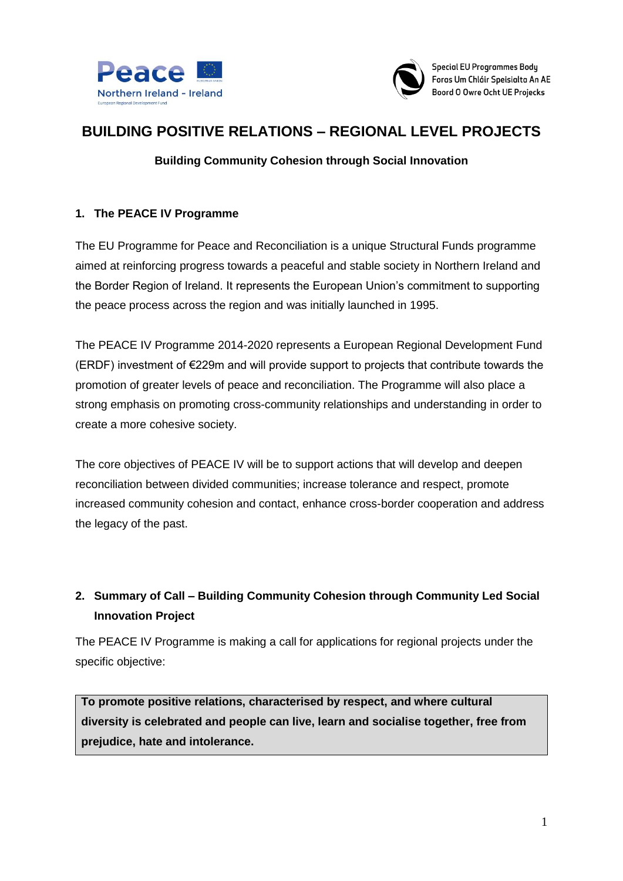



# **BUILDING POSITIVE RELATIONS – REGIONAL LEVEL PROJECTS**

### **Building Community Cohesion through Social Innovation**

#### **1. The PEACE IV Programme**

The EU Programme for Peace and Reconciliation is a unique Structural Funds programme aimed at reinforcing progress towards a peaceful and stable society in Northern Ireland and the Border Region of Ireland. It represents the European Union's commitment to supporting the peace process across the region and was initially launched in 1995.

The PEACE IV Programme 2014-2020 represents a European Regional Development Fund (ERDF) investment of €229m and will provide support to projects that contribute towards the promotion of greater levels of peace and reconciliation. The Programme will also place a strong emphasis on promoting cross-community relationships and understanding in order to create a more cohesive society.

The core objectives of PEACE IV will be to support actions that will develop and deepen reconciliation between divided communities; increase tolerance and respect, promote increased community cohesion and contact, enhance cross-border cooperation and address the legacy of the past.

# **2. Summary of Call – Building Community Cohesion through Community Led Social Innovation Project**

The PEACE IV Programme is making a call for applications for regional projects under the specific objective:

**To promote positive relations, characterised by respect, and where cultural diversity is celebrated and people can live, learn and socialise together, free from prejudice, hate and intolerance.**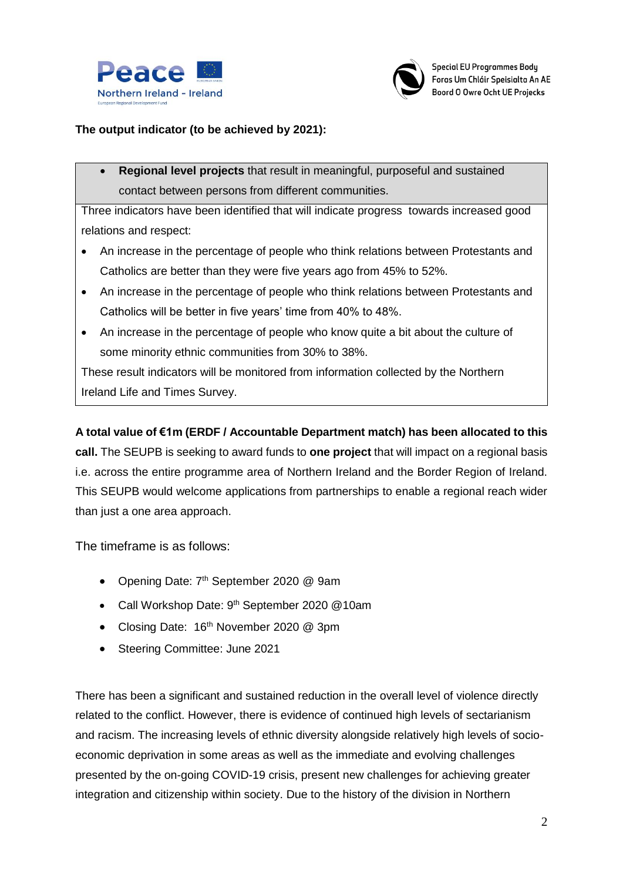



### **The output indicator (to be achieved by 2021):**

 **Regional level projects** that result in meaningful, purposeful and sustained contact between persons from different communities.

Three indicators have been identified that will indicate progress towards increased good relations and respect:

- An increase in the percentage of people who think relations between Protestants and Catholics are better than they were five years ago from 45% to 52%.
- An increase in the percentage of people who think relations between Protestants and Catholics will be better in five years' time from 40% to 48%.
- An increase in the percentage of people who know quite a bit about the culture of some minority ethnic communities from 30% to 38%.

These result indicators will be monitored from information collected by the Northern Ireland Life and Times Survey.

## **A total value of €1m (ERDF / Accountable Department match) has been allocated to this**

**call.** The SEUPB is seeking to award funds to **one project** that will impact on a regional basis i.e. across the entire programme area of Northern Ireland and the Border Region of Ireland. This SEUPB would welcome applications from partnerships to enable a regional reach wider than just a one area approach.

The timeframe is as follows:

- Opening Date: 7<sup>th</sup> September 2020 @ 9am
- Call Workshop Date: 9<sup>th</sup> September 2020 @10am
- Closing Date: 16<sup>th</sup> November 2020 @ 3pm
- Steering Committee: June 2021

There has been a significant and sustained reduction in the overall level of violence directly related to the conflict. However, there is evidence of continued high levels of sectarianism and racism. The increasing levels of ethnic diversity alongside relatively high levels of socioeconomic deprivation in some areas as well as the immediate and evolving challenges presented by the on-going COVID-19 crisis, present new challenges for achieving greater integration and citizenship within society. Due to the history of the division in Northern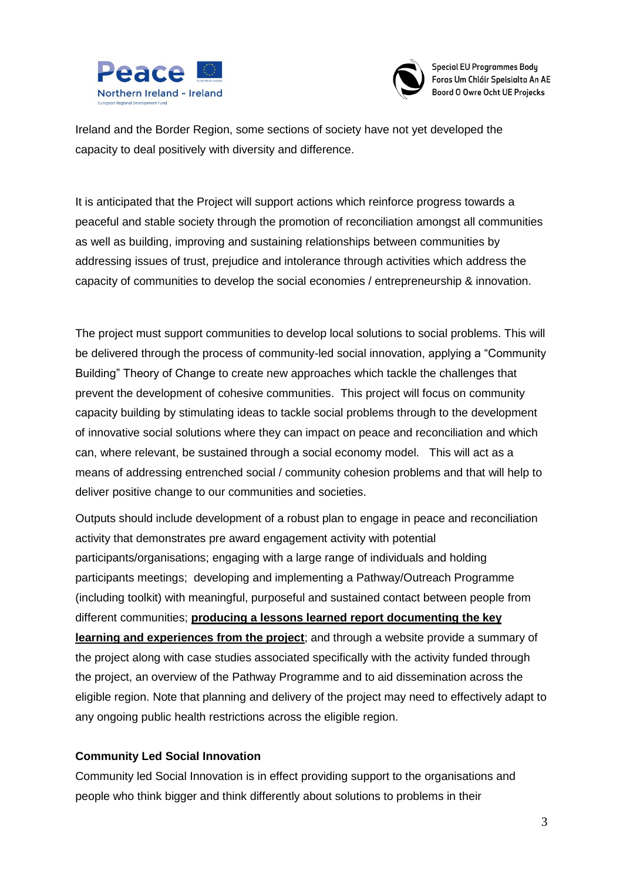



Ireland and the Border Region, some sections of society have not yet developed the capacity to deal positively with diversity and difference.

It is anticipated that the Project will support actions which reinforce progress towards a peaceful and stable society through the promotion of reconciliation amongst all communities as well as building, improving and sustaining relationships between communities by addressing issues of trust, prejudice and intolerance through activities which address the capacity of communities to develop the social economies / entrepreneurship & innovation.

The project must support communities to develop local solutions to social problems. This will be delivered through the process of community-led social innovation, applying a "Community Building" Theory of Change to create new approaches which tackle the challenges that prevent the development of cohesive communities. This project will focus on community capacity building by stimulating ideas to tackle social problems through to the development of innovative social solutions where they can impact on peace and reconciliation and which can, where relevant, be sustained through a social economy model. This will act as a means of addressing entrenched social / community cohesion problems and that will help to deliver positive change to our communities and societies.

Outputs should include development of a robust plan to engage in peace and reconciliation activity that demonstrates pre award engagement activity with potential participants/organisations; engaging with a large range of individuals and holding participants meetings; developing and implementing a Pathway/Outreach Programme (including toolkit) with meaningful, purposeful and sustained contact between people from different communities; **producing a lessons learned report documenting the key learning and experiences from the project**; and through a website provide a summary of the project along with case studies associated specifically with the activity funded through the project, an overview of the Pathway Programme and to aid dissemination across the eligible region. Note that planning and delivery of the project may need to effectively adapt to any ongoing public health restrictions across the eligible region.

#### **Community Led Social Innovation**

Community led Social Innovation is in effect providing support to the organisations and people who think bigger and think differently about solutions to problems in their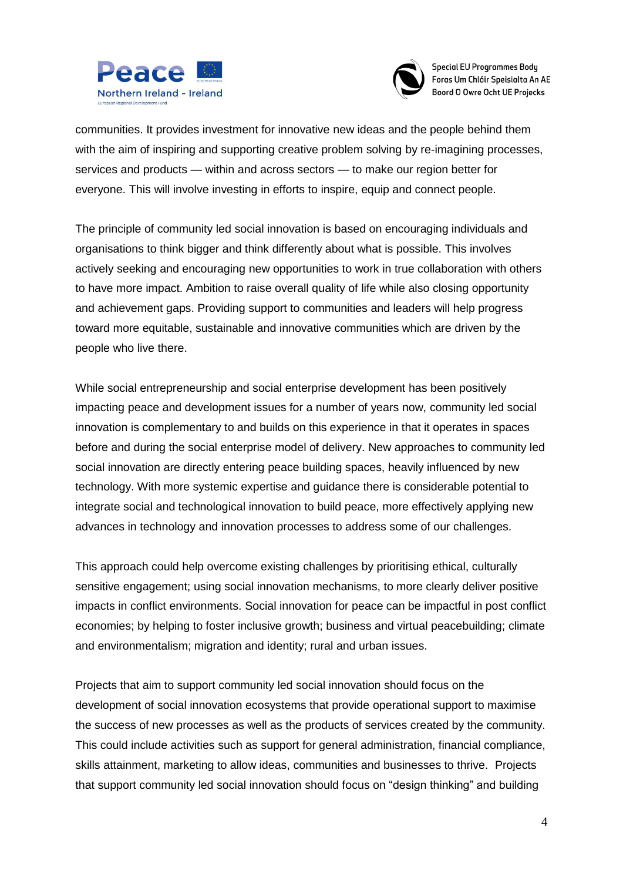



communities. It provides investment for innovative new ideas and the people behind them with the aim of inspiring and supporting creative problem solving by re-imagining processes, services and products — within and across sectors — to make our region better for everyone. This will involve investing in efforts to inspire, equip and connect people.

The principle of community led social innovation is based on encouraging individuals and organisations to think bigger and think differently about what is possible. This involves actively seeking and encouraging new opportunities to work in true collaboration with others to have more impact. Ambition to raise overall quality of life while also closing opportunity and achievement gaps. Providing support to communities and leaders will help progress toward more equitable, sustainable and innovative communities which are driven by the people who live there.

While social entrepreneurship and social enterprise development has been positively impacting peace and development issues for a number of years now, community led social innovation is complementary to and builds on this experience in that it operates in spaces before and during the social enterprise model of delivery. New approaches to community led social innovation are directly entering peace building spaces, heavily influenced by new technology. With more systemic expertise and guidance there is considerable potential to integrate social and technological innovation to build peace, more effectively applying new advances in technology and innovation processes to address some of our challenges.

This approach could help overcome existing challenges by prioritising ethical, culturally sensitive engagement; using social innovation mechanisms, to more clearly deliver positive impacts in conflict environments. Social innovation for peace can be impactful in post conflict economies; by helping to foster inclusive growth; business and virtual peacebuilding; climate and environmentalism; migration and identity; rural and urban issues.

Projects that aim to support community led social innovation should focus on the development of social innovation ecosystems that provide operational support to maximise the success of new processes as well as the products of services created by the community. This could include activities such as support for general administration, financial compliance, skills attainment, marketing to allow ideas, communities and businesses to thrive. Projects that support community led social innovation should focus on "design thinking" and building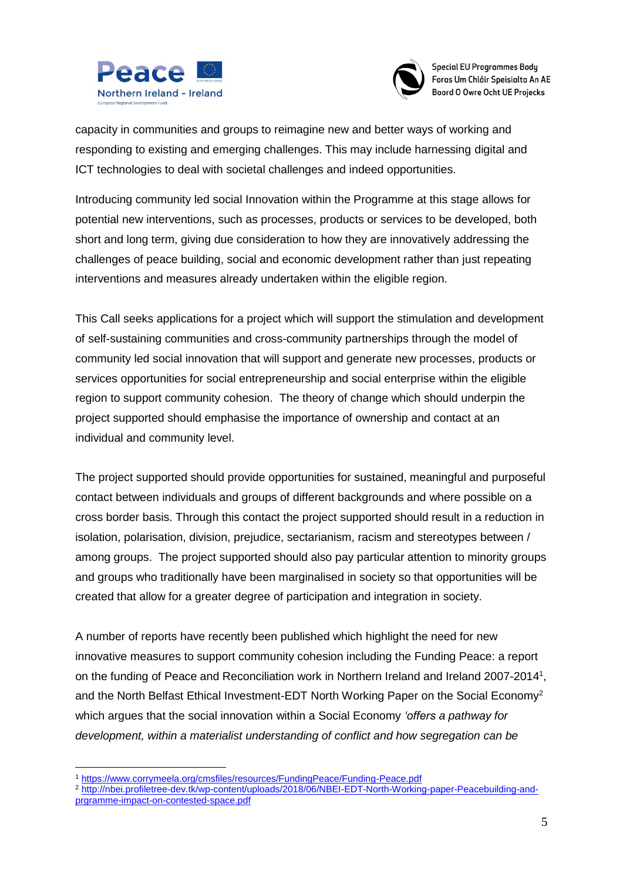



capacity in communities and groups to reimagine new and better ways of working and responding to existing and emerging challenges. This may include harnessing digital and ICT technologies to deal with societal challenges and indeed opportunities.

Introducing community led social Innovation within the Programme at this stage allows for potential new interventions, such as processes, products or services to be developed, both short and long term, giving due consideration to how they are innovatively addressing the challenges of peace building, social and economic development rather than just repeating interventions and measures already undertaken within the eligible region.

This Call seeks applications for a project which will support the stimulation and development of self-sustaining communities and cross-community partnerships through the model of community led social innovation that will support and generate new processes, products or services opportunities for social entrepreneurship and social enterprise within the eligible region to support community cohesion. The theory of change which should underpin the project supported should emphasise the importance of ownership and contact at an individual and community level.

The project supported should provide opportunities for sustained, meaningful and purposeful contact between individuals and groups of different backgrounds and where possible on a cross border basis. Through this contact the project supported should result in a reduction in isolation, polarisation, division, prejudice, sectarianism, racism and stereotypes between / among groups. The project supported should also pay particular attention to minority groups and groups who traditionally have been marginalised in society so that opportunities will be created that allow for a greater degree of participation and integration in society.

A number of reports have recently been published which highlight the need for new innovative measures to support community cohesion including the Funding Peace: a report on the funding of Peace and Reconciliation work in Northern Ireland and Ireland 2007-2014<sup>1</sup>, and the North Belfast Ethical Investment-EDT North Working Paper on the Social Economy<sup>2</sup> which argues that the social innovation within a Social Economy *'offers a pathway for development, within a materialist understanding of conflict and how segregation can be* 

1

<sup>1</sup> <https://www.corrymeela.org/cmsfiles/resources/FundingPeace/Funding-Peace.pdf>

<sup>&</sup>lt;sup>2</sup> [http://nbei.profiletree-dev.tk/wp-content/uploads/2018/06/NBEI-EDT-North-Working-paper-Peacebuilding-and](http://nbei.profiletree-dev.tk/wp-content/uploads/2018/06/NBEI-EDT-North-Working-paper-Peacebuilding-and-prgramme-impact-on-contested-space.pdf)[prgramme-impact-on-contested-space.pdf](http://nbei.profiletree-dev.tk/wp-content/uploads/2018/06/NBEI-EDT-North-Working-paper-Peacebuilding-and-prgramme-impact-on-contested-space.pdf)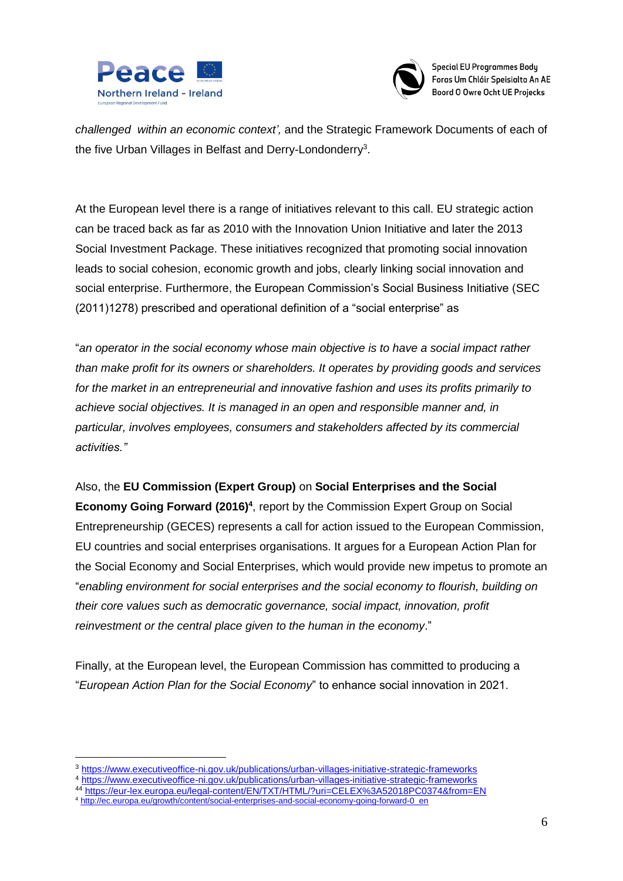



*challenged within an economic context',* and the Strategic Framework Documents of each of the five Urban Villages in Belfast and Derry-Londonderry<sup>3</sup>.

At the European level there is a range of initiatives relevant to this call. EU strategic action can be traced back as far as 2010 with the Innovation Union Initiative and later the 2013 Social Investment Package. These initiatives recognized that promoting social innovation leads to social cohesion, economic growth and jobs, clearly linking social innovation and social enterprise. Furthermore, the European Commission's Social Business Initiative (SEC (2011)1278) prescribed and operational definition of a "social enterprise" as

"*an operator in the social economy whose main objective is to have a social impact rather than make profit for its owners or shareholders. It operates by providing goods and services for the market in an entrepreneurial and innovative fashion and uses its profits primarily to achieve social objectives. It is managed in an open and responsible manner and, in particular, involves employees, consumers and stakeholders affected by its commercial activities."*

Also, the **EU Commission (Expert Group)** on **Social Enterprises and the Social Economy Going Forward (2016)<sup>4</sup>**, report by the Commission Expert Group on Social Entrepreneurship (GECES) represents a call for action issued to the European Commission, EU countries and social enterprises organisations. It argues for a European Action Plan for the Social Economy and Social Enterprises, which would provide new impetus to promote an "*enabling environment for social enterprises and the social economy to flourish, building on their core values such as democratic governance, social impact, innovation, profit reinvestment or the central place given to the human in the economy*."

Finally, at the European level, the European Commission has committed to producing a "*European Action Plan for the Social Economy*" to enhance social innovation in 2021.

<u>.</u>

<sup>3</sup> <https://www.executiveoffice-ni.gov.uk/publications/urban-villages-initiative-strategic-frameworks>

<sup>4</sup> <https://www.executiveoffice-ni.gov.uk/publications/urban-villages-initiative-strategic-frameworks>

<sup>44</sup> <https://eur-lex.europa.eu/legal-content/EN/TXT/HTML/?uri=CELEX%3A52018PC0374&from=EN>

<sup>4</sup> [http://ec.europa.eu/growth/content/social-enterprises-and-social-economy-going-forward-0\\_en](http://ec.europa.eu/growth/content/social-enterprises-and-social-economy-going-forward-0_en)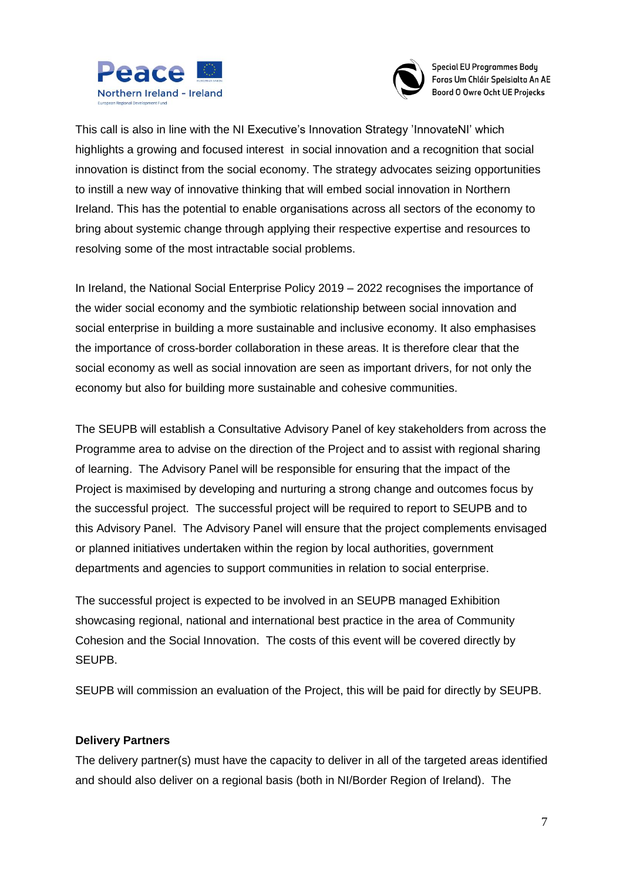



This call is also in line with the NI Executive's Innovation Strategy 'InnovateNI' which highlights a growing and focused interest in social innovation and a recognition that social innovation is distinct from the social economy. The strategy advocates seizing opportunities to instill a new way of innovative thinking that will embed social innovation in Northern Ireland. This has the potential to enable organisations across all sectors of the economy to bring about systemic change through applying their respective expertise and resources to resolving some of the most intractable social problems.

In Ireland, the National Social Enterprise Policy 2019 – 2022 recognises the importance of the wider social economy and the symbiotic relationship between social innovation and social enterprise in building a more sustainable and inclusive economy. It also emphasises the importance of cross-border collaboration in these areas. It is therefore clear that the social economy as well as social innovation are seen as important drivers, for not only the economy but also for building more sustainable and cohesive communities.

The SEUPB will establish a Consultative Advisory Panel of key stakeholders from across the Programme area to advise on the direction of the Project and to assist with regional sharing of learning. The Advisory Panel will be responsible for ensuring that the impact of the Project is maximised by developing and nurturing a strong change and outcomes focus by the successful project. The successful project will be required to report to SEUPB and to this Advisory Panel. The Advisory Panel will ensure that the project complements envisaged or planned initiatives undertaken within the region by local authorities, government departments and agencies to support communities in relation to social enterprise.

The successful project is expected to be involved in an SEUPB managed Exhibition showcasing regional, national and international best practice in the area of Community Cohesion and the Social Innovation. The costs of this event will be covered directly by SEUPB.

SEUPB will commission an evaluation of the Project, this will be paid for directly by SEUPB.

#### **Delivery Partners**

The delivery partner(s) must have the capacity to deliver in all of the targeted areas identified and should also deliver on a regional basis (both in NI/Border Region of Ireland). The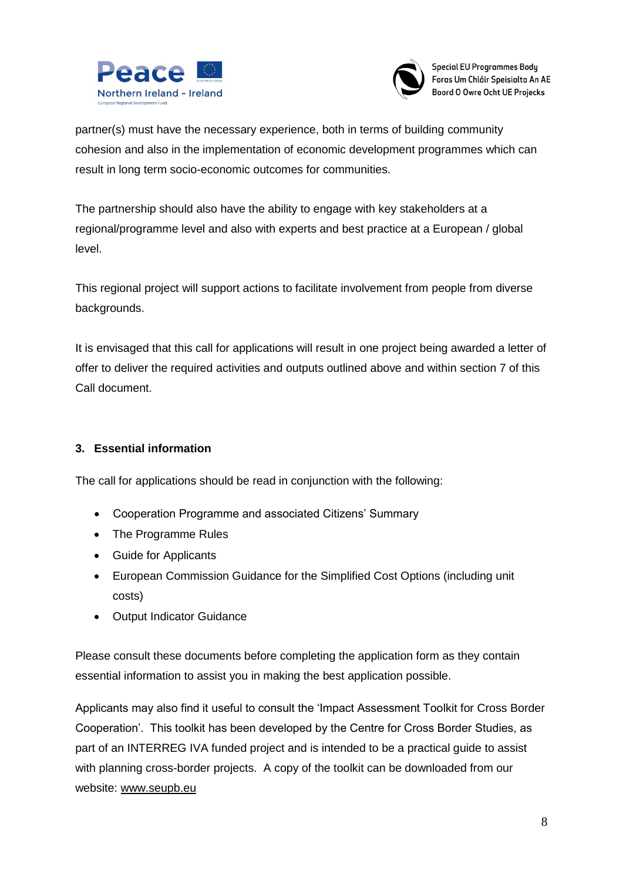



partner(s) must have the necessary experience, both in terms of building community cohesion and also in the implementation of economic development programmes which can result in long term socio-economic outcomes for communities.

The partnership should also have the ability to engage with key stakeholders at a regional/programme level and also with experts and best practice at a European / global level.

This regional project will support actions to facilitate involvement from people from diverse backgrounds.

It is envisaged that this call for applications will result in one project being awarded a letter of offer to deliver the required activities and outputs outlined above and within section 7 of this Call document.

## **3. Essential information**

The call for applications should be read in conjunction with the following:

- Cooperation Programme and associated Citizens' Summary
- The Programme Rules
- Guide for Applicants
- European Commission Guidance for the Simplified Cost Options (including unit costs)
- Output Indicator Guidance

Please consult these documents before completing the application form as they contain essential information to assist you in making the best application possible.

Applicants may also find it useful to consult the 'Impact Assessment Toolkit for Cross Border Cooperation'. This toolkit has been developed by the Centre for Cross Border Studies, as part of an INTERREG IVA funded project and is intended to be a practical guide to assist with planning cross-border projects. A copy of the toolkit can be downloaded from our website: [www.seupb.eu](http://www.seupb.eu/)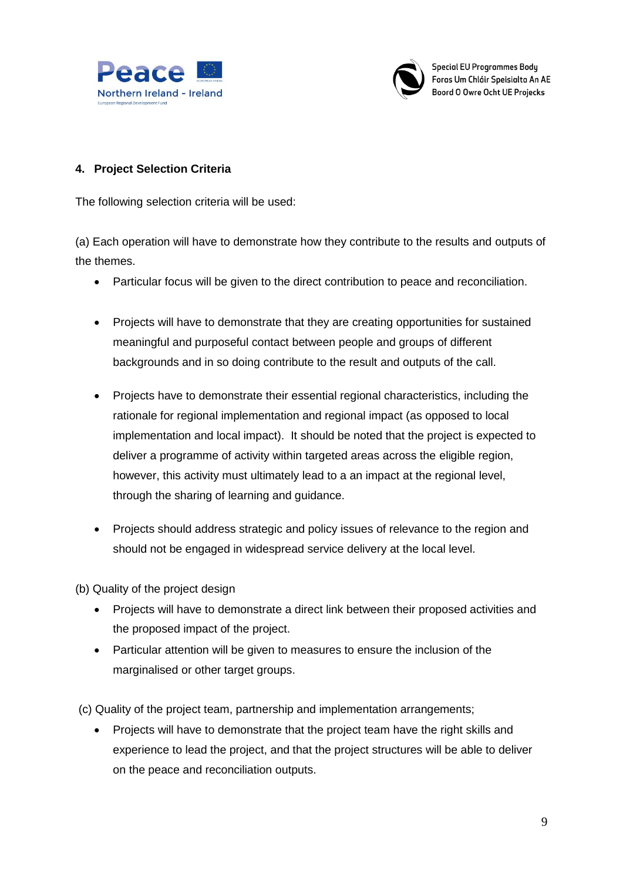



#### **4. Project Selection Criteria**

The following selection criteria will be used:

(a) Each operation will have to demonstrate how they contribute to the results and outputs of the themes.

- Particular focus will be given to the direct contribution to peace and reconciliation.
- Projects will have to demonstrate that they are creating opportunities for sustained meaningful and purposeful contact between people and groups of different backgrounds and in so doing contribute to the result and outputs of the call.
- Projects have to demonstrate their essential regional characteristics, including the rationale for regional implementation and regional impact (as opposed to local implementation and local impact). It should be noted that the project is expected to deliver a programme of activity within targeted areas across the eligible region, however, this activity must ultimately lead to a an impact at the regional level, through the sharing of learning and guidance.
- Projects should address strategic and policy issues of relevance to the region and should not be engaged in widespread service delivery at the local level.

(b) Quality of the project design

- Projects will have to demonstrate a direct link between their proposed activities and the proposed impact of the project.
- Particular attention will be given to measures to ensure the inclusion of the marginalised or other target groups.

(c) Quality of the project team, partnership and implementation arrangements;

• Projects will have to demonstrate that the project team have the right skills and experience to lead the project, and that the project structures will be able to deliver on the peace and reconciliation outputs.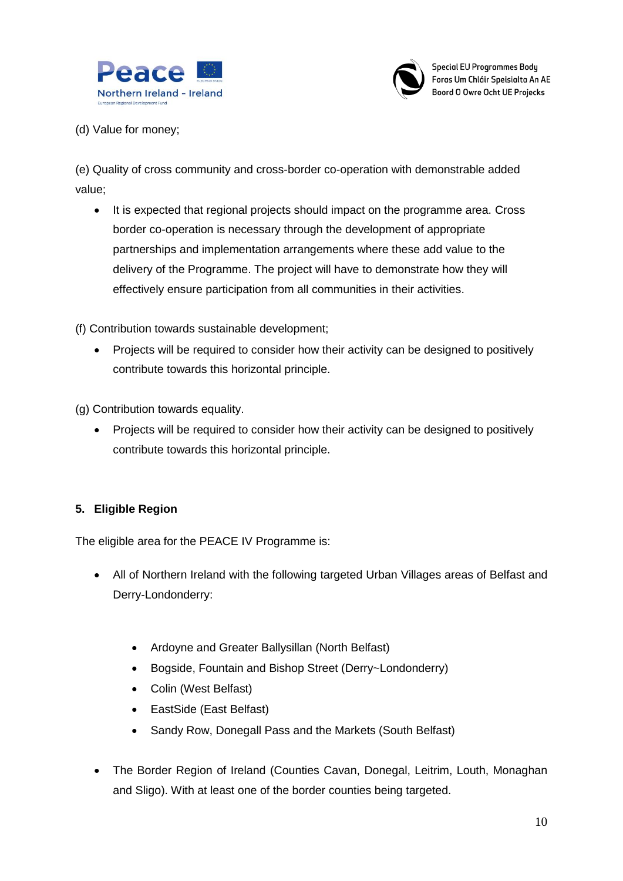



(d) Value for money;

(e) Quality of cross community and cross-border co-operation with demonstrable added value;

• It is expected that regional projects should impact on the programme area. Cross border co-operation is necessary through the development of appropriate partnerships and implementation arrangements where these add value to the delivery of the Programme. The project will have to demonstrate how they will effectively ensure participation from all communities in their activities.

(f) Contribution towards sustainable development;

• Projects will be required to consider how their activity can be designed to positively contribute towards this horizontal principle.

(g) Contribution towards equality.

• Projects will be required to consider how their activity can be designed to positively contribute towards this horizontal principle.

## **5. Eligible Region**

The eligible area for the PEACE IV Programme is:

- All of Northern Ireland with the following targeted Urban Villages areas of Belfast and Derry-Londonderry:
	- Ardoyne and Greater Ballysillan (North Belfast)
	- Bogside, Fountain and Bishop Street (Derry~Londonderry)
	- Colin (West Belfast)
	- EastSide (East Belfast)
	- Sandy Row, Donegall Pass and the Markets (South Belfast)
- The Border Region of Ireland (Counties Cavan, Donegal, Leitrim, Louth, Monaghan and Sligo). With at least one of the border counties being targeted.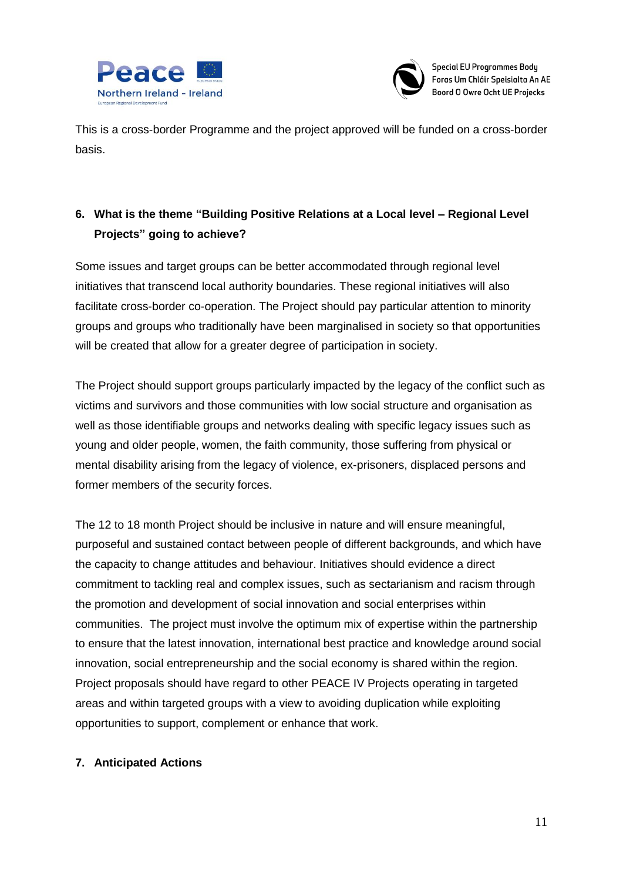



This is a cross-border Programme and the project approved will be funded on a cross-border basis.

# **6. What is the theme "Building Positive Relations at a Local level – Regional Level Projects" going to achieve?**

Some issues and target groups can be better accommodated through regional level initiatives that transcend local authority boundaries. These regional initiatives will also facilitate cross-border co-operation. The Project should pay particular attention to minority groups and groups who traditionally have been marginalised in society so that opportunities will be created that allow for a greater degree of participation in society.

The Project should support groups particularly impacted by the legacy of the conflict such as victims and survivors and those communities with low social structure and organisation as well as those identifiable groups and networks dealing with specific legacy issues such as young and older people, women, the faith community, those suffering from physical or mental disability arising from the legacy of violence, ex-prisoners, displaced persons and former members of the security forces.

The 12 to 18 month Project should be inclusive in nature and will ensure meaningful, purposeful and sustained contact between people of different backgrounds, and which have the capacity to change attitudes and behaviour. Initiatives should evidence a direct commitment to tackling real and complex issues, such as sectarianism and racism through the promotion and development of social innovation and social enterprises within communities. The project must involve the optimum mix of expertise within the partnership to ensure that the latest innovation, international best practice and knowledge around social innovation, social entrepreneurship and the social economy is shared within the region. Project proposals should have regard to other PEACE IV Projects operating in targeted areas and within targeted groups with a view to avoiding duplication while exploiting opportunities to support, complement or enhance that work.

#### **7. Anticipated Actions**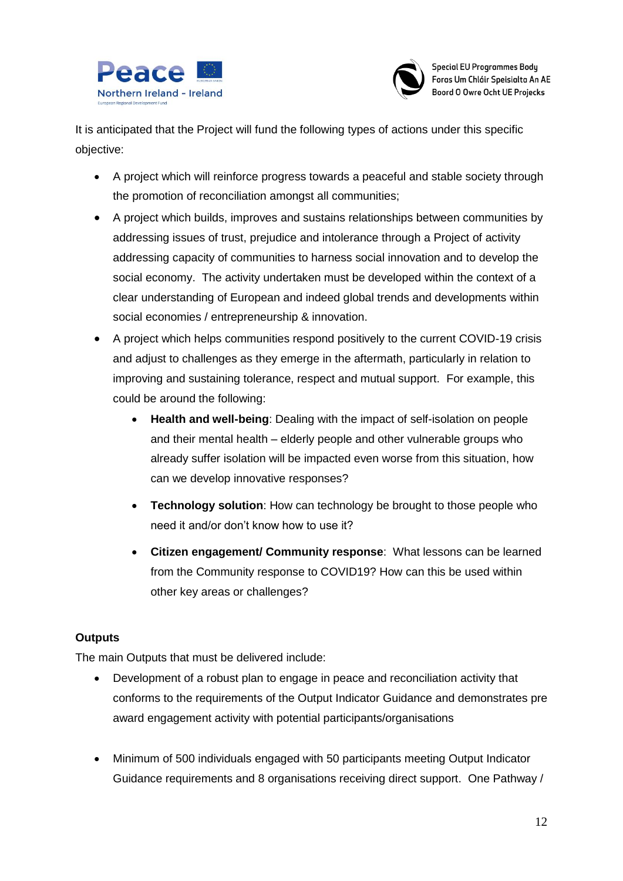



It is anticipated that the Project will fund the following types of actions under this specific objective:

- A project which will reinforce progress towards a peaceful and stable society through the promotion of reconciliation amongst all communities;
- A project which builds, improves and sustains relationships between communities by addressing issues of trust, prejudice and intolerance through a Project of activity addressing capacity of communities to harness social innovation and to develop the social economy. The activity undertaken must be developed within the context of a clear understanding of European and indeed global trends and developments within social economies / entrepreneurship & innovation.
- A project which helps communities respond positively to the current COVID-19 crisis and adjust to challenges as they emerge in the aftermath, particularly in relation to improving and sustaining tolerance, respect and mutual support. For example, this could be around the following:
	- **Health and well-being**: Dealing with the impact of self-isolation on people and their mental health – elderly people and other vulnerable groups who already suffer isolation will be impacted even worse from this situation, how can we develop innovative responses?
	- **Technology solution**: How can technology be brought to those people who need it and/or don't know how to use it?
	- **Citizen engagement/ Community response**: What lessons can be learned from the Community response to COVID19? How can this be used within other key areas or challenges?

## **Outputs**

The main Outputs that must be delivered include:

- Development of a robust plan to engage in peace and reconciliation activity that conforms to the requirements of the Output Indicator Guidance and demonstrates pre award engagement activity with potential participants/organisations
- Minimum of 500 individuals engaged with 50 participants meeting Output Indicator Guidance requirements and 8 organisations receiving direct support. One Pathway /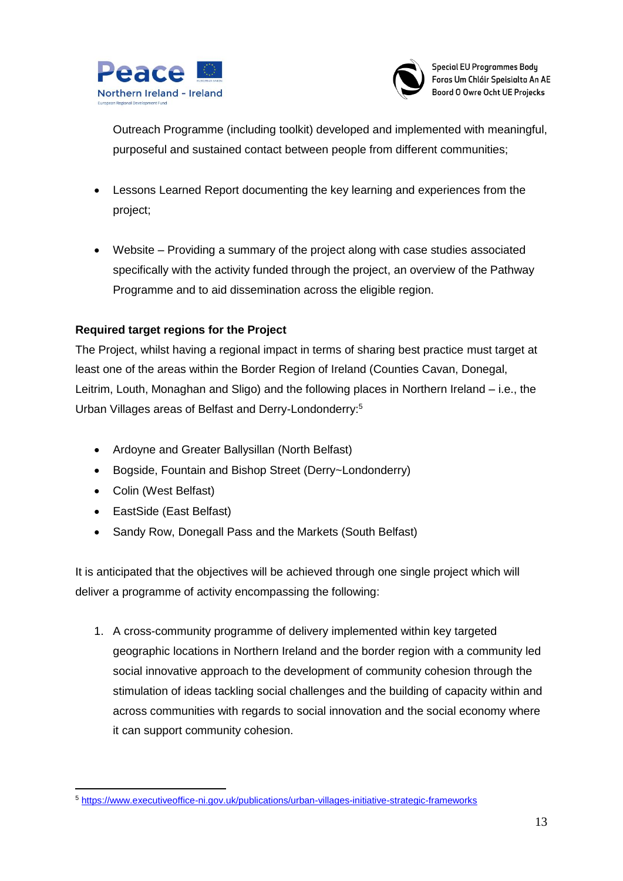



Outreach Programme (including toolkit) developed and implemented with meaningful, purposeful and sustained contact between people from different communities;

- Lessons Learned Report documenting the key learning and experiences from the project;
- Website Providing a summary of the project along with case studies associated specifically with the activity funded through the project, an overview of the Pathway Programme and to aid dissemination across the eligible region.

## **Required target regions for the Project**

The Project, whilst having a regional impact in terms of sharing best practice must target at least one of the areas within the Border Region of Ireland (Counties Cavan, Donegal, Leitrim, Louth, Monaghan and Sligo) and the following places in Northern Ireland – i.e., the Urban Villages areas of Belfast and Derry-Londonderry:<sup>5</sup>

- Ardoyne and Greater Ballysillan (North Belfast)
- Bogside, Fountain and Bishop Street (Derry~Londonderry)
- Colin (West Belfast)
- EastSide (East Belfast)
- Sandy Row, Donegall Pass and the Markets (South Belfast)

It is anticipated that the objectives will be achieved through one single project which will deliver a programme of activity encompassing the following:

1. A cross-community programme of delivery implemented within key targeted geographic locations in Northern Ireland and the border region with a community led social innovative approach to the development of community cohesion through the stimulation of ideas tackling social challenges and the building of capacity within and across communities with regards to social innovation and the social economy where it can support community cohesion.

<sup>1</sup> <sup>5</sup> <https://www.executiveoffice-ni.gov.uk/publications/urban-villages-initiative-strategic-frameworks>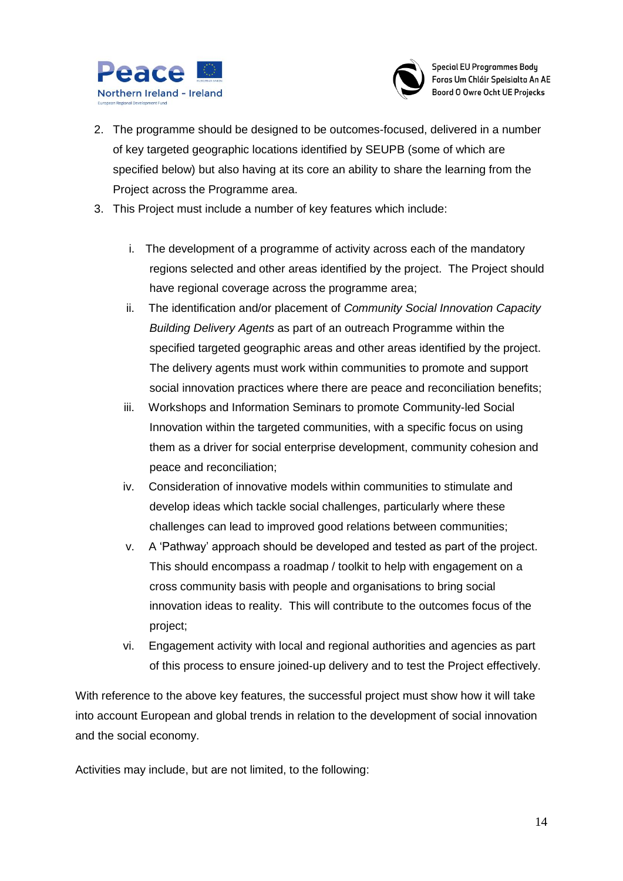



- 2. The programme should be designed to be outcomes-focused, delivered in a number of key targeted geographic locations identified by SEUPB (some of which are specified below) but also having at its core an ability to share the learning from the Project across the Programme area.
- 3. This Project must include a number of key features which include:
	- i. The development of a programme of activity across each of the mandatory regions selected and other areas identified by the project. The Project should have regional coverage across the programme area;
	- ii. The identification and/or placement of *Community Social Innovation Capacity Building Delivery Agents* as part of an outreach Programme within the specified targeted geographic areas and other areas identified by the project. The delivery agents must work within communities to promote and support social innovation practices where there are peace and reconciliation benefits;
	- iii. Workshops and Information Seminars to promote Community-led Social Innovation within the targeted communities, with a specific focus on using them as a driver for social enterprise development, community cohesion and peace and reconciliation;
	- iv. Consideration of innovative models within communities to stimulate and develop ideas which tackle social challenges, particularly where these challenges can lead to improved good relations between communities;
	- v. A 'Pathway' approach should be developed and tested as part of the project. This should encompass a roadmap / toolkit to help with engagement on a cross community basis with people and organisations to bring social innovation ideas to reality. This will contribute to the outcomes focus of the project;
	- vi. Engagement activity with local and regional authorities and agencies as part of this process to ensure joined-up delivery and to test the Project effectively.

With reference to the above key features, the successful project must show how it will take into account European and global trends in relation to the development of social innovation and the social economy.

Activities may include, but are not limited, to the following: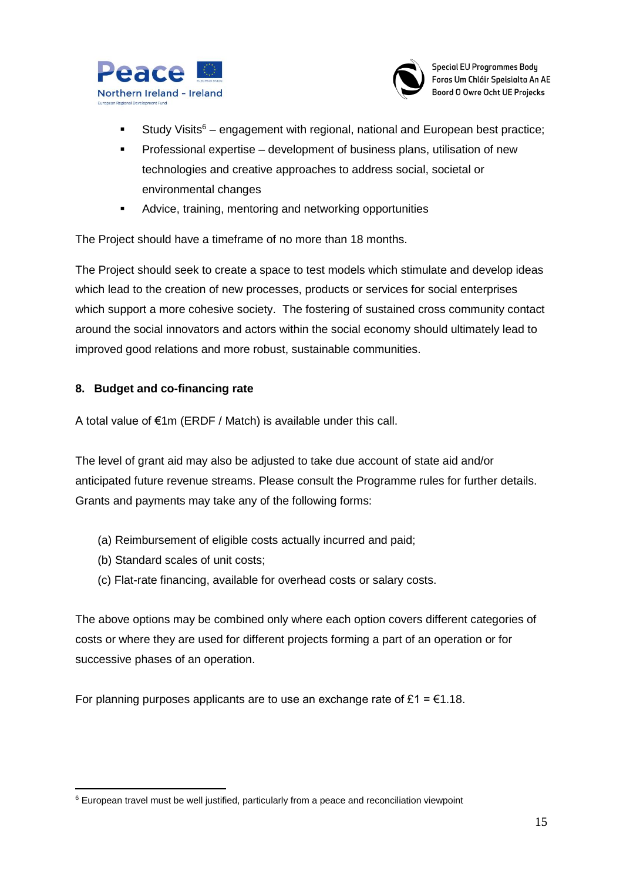



- Study Visits<sup>6</sup> engagement with regional, national and European best practice;
- Professional expertise development of business plans, utilisation of new technologies and creative approaches to address social, societal or environmental changes
- Advice, training, mentoring and networking opportunities

The Project should have a timeframe of no more than 18 months.

The Project should seek to create a space to test models which stimulate and develop ideas which lead to the creation of new processes, products or services for social enterprises which support a more cohesive society. The fostering of sustained cross community contact around the social innovators and actors within the social economy should ultimately lead to improved good relations and more robust, sustainable communities.

#### **8. Budget and co-financing rate**

A total value of €1m (ERDF / Match) is available under this call.

The level of grant aid may also be adjusted to take due account of state aid and/or anticipated future revenue streams. Please consult the Programme rules for further details. Grants and payments may take any of the following forms:

- (a) Reimbursement of eligible costs actually incurred and paid;
- (b) Standard scales of unit costs;
- (c) Flat-rate financing, available for overhead costs or salary costs.

The above options may be combined only where each option covers different categories of costs or where they are used for different projects forming a part of an operation or for successive phases of an operation.

For planning purposes applicants are to use an exchange rate of £1 =  $\epsilon$ 1.18.

<sup>1</sup> <sup>6</sup> European travel must be well justified, particularly from a peace and reconciliation viewpoint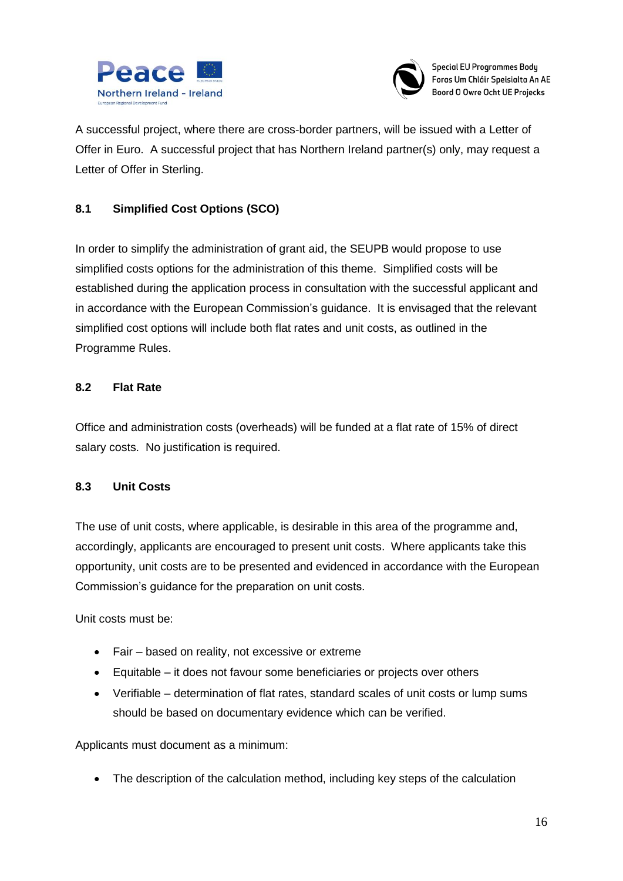



A successful project, where there are cross-border partners, will be issued with a Letter of Offer in Euro. A successful project that has Northern Ireland partner(s) only, may request a Letter of Offer in Sterling.

## **8.1 Simplified Cost Options (SCO)**

In order to simplify the administration of grant aid, the SEUPB would propose to use simplified costs options for the administration of this theme. Simplified costs will be established during the application process in consultation with the successful applicant and in accordance with the European Commission's guidance. It is envisaged that the relevant simplified cost options will include both flat rates and unit costs, as outlined in the Programme Rules.

## **8.2 Flat Rate**

Office and administration costs (overheads) will be funded at a flat rate of 15% of direct salary costs. No justification is required.

#### **8.3 Unit Costs**

The use of unit costs, where applicable, is desirable in this area of the programme and, accordingly, applicants are encouraged to present unit costs. Where applicants take this opportunity, unit costs are to be presented and evidenced in accordance with the European Commission's guidance for the preparation on unit costs.

Unit costs must be:

- Fair based on reality, not excessive or extreme
- Equitable it does not favour some beneficiaries or projects over others
- Verifiable determination of flat rates, standard scales of unit costs or lump sums should be based on documentary evidence which can be verified.

Applicants must document as a minimum:

• The description of the calculation method, including key steps of the calculation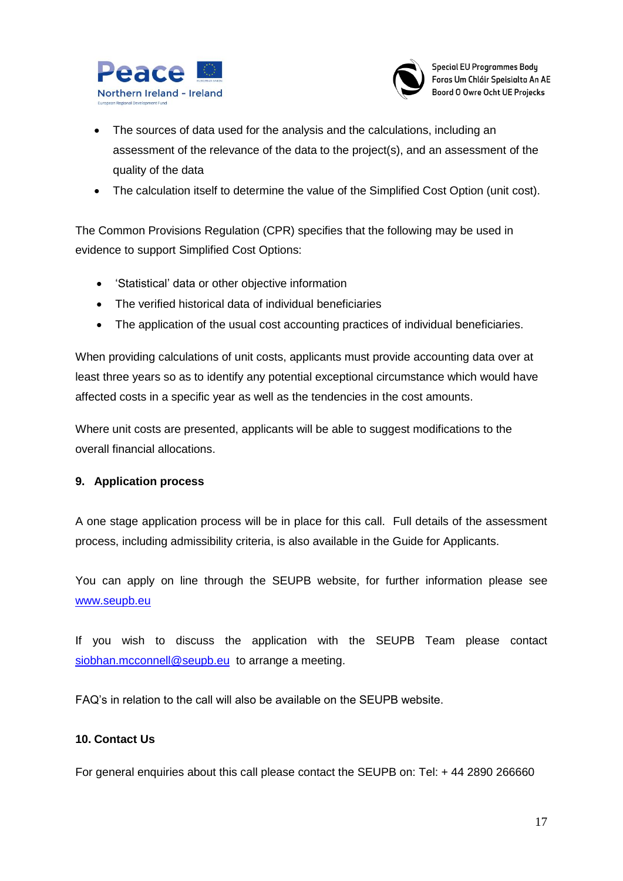



- The sources of data used for the analysis and the calculations, including an assessment of the relevance of the data to the project(s), and an assessment of the quality of the data
- The calculation itself to determine the value of the Simplified Cost Option (unit cost).

The Common Provisions Regulation (CPR) specifies that the following may be used in evidence to support Simplified Cost Options:

- 'Statistical' data or other objective information
- The verified historical data of individual beneficiaries
- The application of the usual cost accounting practices of individual beneficiaries.

When providing calculations of unit costs, applicants must provide accounting data over at least three years so as to identify any potential exceptional circumstance which would have affected costs in a specific year as well as the tendencies in the cost amounts.

Where unit costs are presented, applicants will be able to suggest modifications to the overall financial allocations.

#### **9. Application process**

A one stage application process will be in place for this call. Full details of the assessment process, including admissibility criteria, is also available in the Guide for Applicants.

You can apply on line through the SEUPB website, for further information please see [www.seupb.eu](http://www.seupb.eu/)

If you wish to discuss the application with the SEUPB Team please contact [siobhan.mcconnell@seupb.eu](mailto:siobhan.mcconnell@seupb.eu) to arrange a meeting.

FAQ's in relation to the call will also be available on the SEUPB website.

#### **10. Contact Us**

For general enquiries about this call please contact the SEUPB on: Tel: + 44 2890 266660